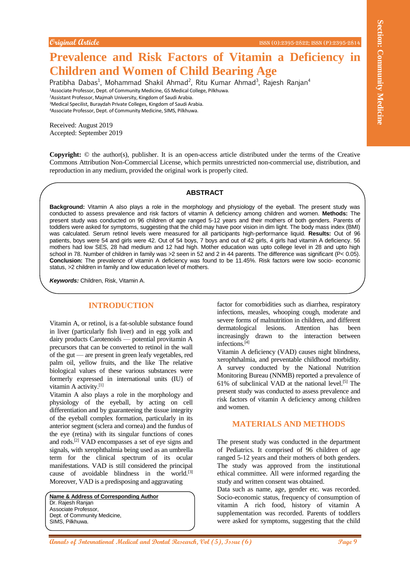# **Prevalence and Risk Factors of Vitamin a Deficiency in Children and Women of Child Bearing Age**

Pratibha Dabas<sup>1</sup>, Mohammad Shakil Ahmad<sup>2</sup>, Ritu Kumar Ahmad<sup>3</sup>, Rajesh Ranjan<sup>4</sup> <sup>1</sup>Associate Professor, Dept. of Community Medicine, GS Medical College, Pilkhuwa. <sup>2</sup>Assistant Professor, Majmah University, Kingdom of Saudi Arabia. <sup>3</sup>Medical Specilist, Buraydah Private Colleges, Kingdom of Saudi Arabia. <sup>4</sup>Associate Professor, Dept. of Community Medicine, SIMS, Pilkhuwa.

Received: August 2019 Accepted: September 2019

**Copyright:** © the author(s), publisher. It is an open-access article distributed under the terms of the Creative Commons Attribution Non-Commercial License, which permits unrestricted non-commercial use, distribution, and reproduction in any medium, provided the original work is properly cited.

### **ABSTRACT**

**Continent (International Community Medical and Theorem Christian Community Medicine and New York Community Medicine and New York Community Medicine and Theorem Properties Community Medicine and Theorem Properties Communit Background:** Vitamin A also plays a role in the morphology and physiology of the eyeball. The present study was conducted to assess prevalence and risk factors of vitamin A deficiency among children and women. **Methods:** The present study was conducted on 96 children of age ranged 5-12 years and their mothers of both genders. Parents of toddlers were asked for symptoms, suggesting that the child may have poor vision in dim light. The body mass index (BMI) was calculated. Serum retinol levels were measured for all participants high-performance liquid. **Results:** Out of 96 patients, boys were 54 and girls were 42. Out of 54 boys, 7 boys and out of 42 girls, 4 girls had vitamin A deficiency. 56 mothers had low SES, 28 had medium and 12 had high. Mother education was upto college level in 28 and upto high school in 78. Number of children in family was >2 seen in 52 and 2 in 44 parents. The difference was significant (P< 0.05). **Conclusion:** The prevalence of vitamin A deficiency was found to be 11.45%. Risk factors were low socio- economic status, >2 children in family and low education level of mothers.

*Keywords:* Children, Risk, Vitamin A.

## **INTRODUCTION**

Vitamin A, or retinol, is a fat-soluble substance found in liver (particularly fish liver) and in egg yolk and dairy products Carotenoids — potential provitamin A precursors that can be converted to retinol in the wall of the gut — are present in green leafy vegetables, red palm oil, yellow fruits, and the like The relative biological values of these various substances were formerly expressed in international units (IU) of vitamin A activity.[1]

Vitamin A also plays a role in the morphology and physiology of the eyeball, by acting on cell differentiation and by guaranteeing the tissue integrity of the eyeball complex formation, particularly in its anterior segment (sclera and cornea) and the fundus of the eye (retina) with its singular functions of cones and rods.[2] VAD encompasses a set of eye signs and signals, with xerophthalmia being used as an umbrella term for the clinical spectrum of its ocular manifestations. VAD is still considered the principal cause of avoidable blindness in the world.[3] Moreover, VAD is a predisposing and aggravating

**Name & Address of Corresponding Author** Dr. Rajesh Ranjan Associate Professor, Dept. of Community Medicine, SIMS, Pilkhuwa.

factor for comorbidities such as diarrhea, respiratory infections, measles, whooping cough, moderate and severe forms of malnutrition in children, and different dermatological lesions. Attention has been increasingly drawn to the interaction between infections.[4]

Vitamin A deficiency (VAD) causes night blindness, xerophthalmia, and preventable childhood morbidity. A survey conducted by the National Nutrition Monitoring Bureau (NNMB) reported a prevalence of 61% of subclinical VAD at the national level.<sup>[5]</sup> The present study was conducted to assess prevalence and risk factors of vitamin A deficiency among children and women.

### **MATERIALS AND METHODS**

The present study was conducted in the department of Pediatrics. It comprised of 96 children of age ranged 5-12 years and their mothers of both genders. The study was approved from the institutional ethical committee. All were informed regarding the study and written consent was obtained.

Data such as name, age, gender etc. was recorded. Socio-economic status, frequency of consumption of vitamin A rich food, history of vitamin A supplementation was recorded. Parents of toddlers were asked for symptoms, suggesting that the child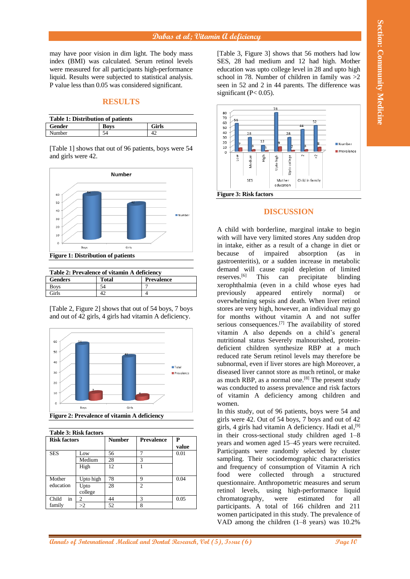may have poor vision in dim light. The body mass index (BMI) was calculated. Serum retinol levels were measured for all participants high-performance liquid. Results were subjected to statistical analysis. P value less than 0.05 was considered significant.

## **RESULTS**

| <b>Table 1: Distribution of patients</b> |      |              |  |  |  |
|------------------------------------------|------|--------------|--|--|--|
| <b>Gender</b>                            | Bovs | <b>Girls</b> |  |  |  |
| Number                                   |      |              |  |  |  |

[Table 1] shows that out of 96 patients, boys were 54 and girls were 42.



| Table 2: Prevalence of vitamin A deficiency |       |                   |  |  |  |
|---------------------------------------------|-------|-------------------|--|--|--|
| <b>Genders</b>                              | Total | <b>Prevalence</b> |  |  |  |
| <b>Boys</b>                                 | 54    |                   |  |  |  |
| `irls                                       |       |                   |  |  |  |

[Table 2, Figure 2] shows that out of 54 boys, 7 boys and out of 42 girls, 4 girls had vitamin A deficiency.



| <b>Table 3: Risk factors</b> |                 |               |                   |            |  |  |
|------------------------------|-----------------|---------------|-------------------|------------|--|--|
| <b>Risk factors</b>          |                 | <b>Number</b> | <b>Prevalence</b> | P<br>value |  |  |
| <b>SES</b>                   | Low             | 56            | 7                 | 0.01       |  |  |
|                              | Medium          | 28            | 3                 |            |  |  |
|                              | High            | 12            |                   |            |  |  |
| Mother                       | Upto high       | 78            | 9                 | 0.04       |  |  |
| education                    | Upto<br>college | 28            | $\mathfrak{D}$    |            |  |  |
| in<br>Child                  | 2               | 44            | 3                 | 0.05       |  |  |
| family                       | >2              | 52            | 8                 |            |  |  |

[Table 3, Figure 3] shows that 56 mothers had low SES, 28 had medium and 12 had high. Mother education was upto college level in 28 and upto high school in 78. Number of children in family was  $>2$ seen in 52 and 2 in 44 parents. The difference was significant ( $P < 0.05$ ).



## **DISCUSSION**

**Andre of International Medical Andrese Community Community Community Medical Andre Section 2013 (and Dental Andre Section 2013)<br>
Medical and Dental Andre Section 2013 (and Dental Andre Section 2013)<br>
Version Community Co** A child with borderline, marginal intake to begin with will have very limited stores Any sudden drop in intake, either as a result of a change in diet or because of impaired absorption (as in gastroenteritis), or a sudden increase in metabolic demand will cause rapid depletion of limited reserves.<sup>[6]</sup> This can precipitate blinding This can precipitate blinding xerophthalmia (even in a child whose eyes had previously appeared entirely normal) or overwhelming sepsis and death. When liver retinol stores are very high, however, an individual may go for months without vitamin A and not suffer serious consequences.[7] The availability of stored vitamin A also depends on a child's general nutritional status Severely malnourished, proteindeficient children synthesize RBP at a much reduced rate Serum retinol levels may therefore be subnormal, even if liver stores are high Moreover, a diseased liver cannot store as much retinol, or make as much RBP, as a normal one.<sup>[8]</sup> The present study was conducted to assess prevalence and risk factors of vitamin A deficiency among children and women.

In this study, out of 96 patients, boys were 54 and girls were 42. Out of 54 boys, 7 boys and out of 42 girls, 4 girls had vitamin A deficiency. Hadi et al,<sup>[9]</sup> in their cross-sectional study children aged 1–8 years and women aged 15–45 years were recruited. Participants were randomly selected by cluster sampling. Their sociodemographic characteristics and frequency of consumption of Vitamin A rich food were collected through a structured questionnaire. Anthropometric measures and serum retinol levels, using high-performance liquid chromatography, were estimated for all participants. A total of 166 children and 211 women participated in this study. The prevalence of VAD among the children (1–8 years) was 10.2%